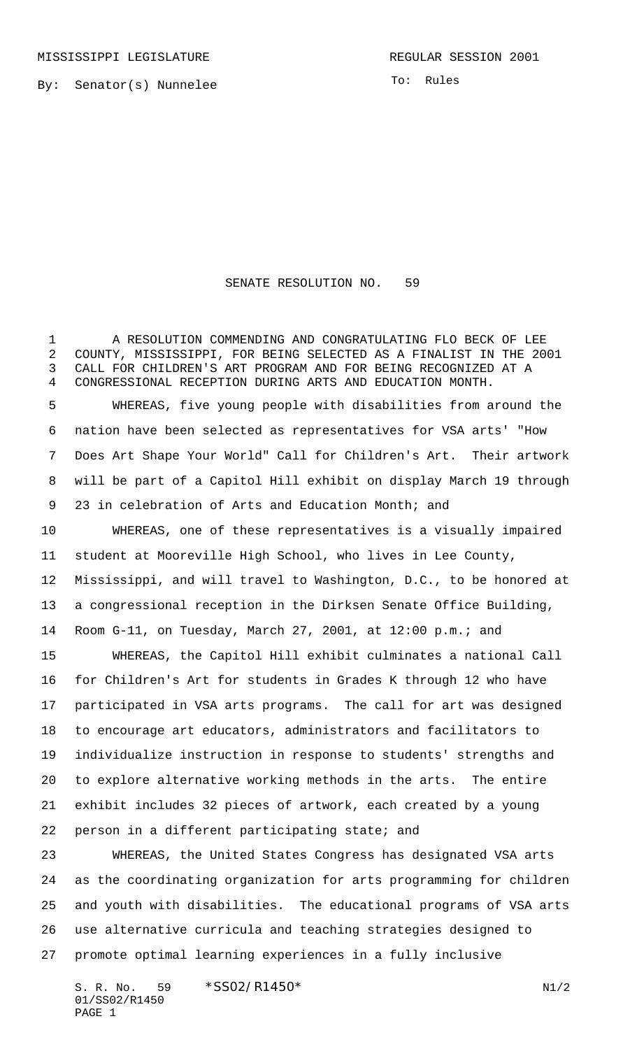MISSISSIPPI LEGISLATURE **REGULAR SESSION 2001** 

By: Senator(s) Nunnelee

To: Rules

## SENATE RESOLUTION NO. 59

 A RESOLUTION COMMENDING AND CONGRATULATING FLO BECK OF LEE COUNTY, MISSISSIPPI, FOR BEING SELECTED AS A FINALIST IN THE 2001 CALL FOR CHILDREN'S ART PROGRAM AND FOR BEING RECOGNIZED AT A CONGRESSIONAL RECEPTION DURING ARTS AND EDUCATION MONTH. WHEREAS, five young people with disabilities from around the

 nation have been selected as representatives for VSA arts' "How Does Art Shape Your World" Call for Children's Art. Their artwork will be part of a Capitol Hill exhibit on display March 19 through 23 in celebration of Arts and Education Month; and

 WHEREAS, one of these representatives is a visually impaired student at Mooreville High School, who lives in Lee County, Mississippi, and will travel to Washington, D.C., to be honored at a congressional reception in the Dirksen Senate Office Building, Room G-11, on Tuesday, March 27, 2001, at 12:00 p.m.; and

 WHEREAS, the Capitol Hill exhibit culminates a national Call for Children's Art for students in Grades K through 12 who have participated in VSA arts programs. The call for art was designed to encourage art educators, administrators and facilitators to individualize instruction in response to students' strengths and to explore alternative working methods in the arts. The entire exhibit includes 32 pieces of artwork, each created by a young person in a different participating state; and

 WHEREAS, the United States Congress has designated VSA arts as the coordinating organization for arts programming for children and youth with disabilities. The educational programs of VSA arts use alternative curricula and teaching strategies designed to promote optimal learning experiences in a fully inclusive

S. R. No. \*SS02/R1450\* N1/2 01/SS02/R1450 PAGE 1